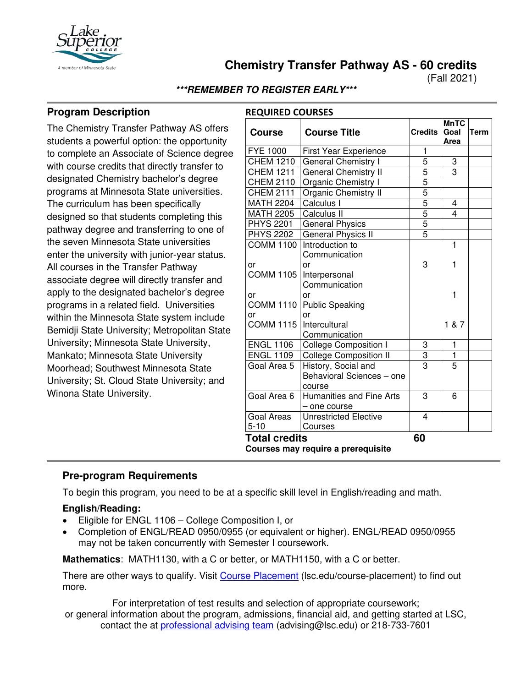

**Chemistry Transfer Pathway AS - 60 credits**

(Fall 2021)

**\*\*\*REMEMBER TO REGISTER EARLY\*\*\***

# **Program Description**

The Chemistry Transfer Pathway AS offers students a powerful option: the opportunity to complete an Associate of Science degree with course credits that directly transfer to designated Chemistry bachelor's degree programs at Minnesota State universities. The curriculum has been specifically designed so that students completing this pathway degree and transferring to one of the seven Minnesota State universities enter the university with junior-year status. All courses in the Transfer Pathway associate degree will directly transfer and apply to the designated bachelor's degree programs in a related field. Universities within the Minnesota State system include Bemidji State University; Metropolitan State University; Minnesota State University, Mankato; Minnesota State University Moorhead; Southwest Minnesota State University; St. Cloud State University; and Winona State University.

| <b>Course</b>                      | <b>Course Title</b>              | <b>Credits</b> | <b>MnTC</b><br>Goal<br>Area | <b>Term</b> |  |  |
|------------------------------------|----------------------------------|----------------|-----------------------------|-------------|--|--|
| <b>FYE 1000</b>                    | <b>First Year Experience</b>     | 1              |                             |             |  |  |
| <b>CHEM 1210</b>                   | <b>General Chemistry I</b>       | 5              | 3                           |             |  |  |
| <b>CHEM 1211</b>                   | General Chemistry II             | 5              | $\overline{3}$              |             |  |  |
| <b>CHEM 2110</b>                   | Organic Chemistry I              | 5              |                             |             |  |  |
| <b>CHEM 2111</b>                   | Organic Chemistry II             |                |                             |             |  |  |
| <b>MATH 2204</b>                   | Calculus I                       | $\frac{5}{5}$  | 4                           |             |  |  |
| <b>MATH 2205</b>                   | Calculus II                      |                | $\overline{\mathbf{A}}$     |             |  |  |
| <b>PHYS 2201</b>                   | <b>General Physics</b>           | $rac{5}{5}$    |                             |             |  |  |
| <b>PHYS 2202</b>                   | General Physics II               |                |                             |             |  |  |
| <b>COMM 1100</b>                   | Introduction to<br>Communication |                | $\overline{1}$              |             |  |  |
| or                                 | or                               | 3              | 1                           |             |  |  |
| <b>COMM 1105</b>                   | Interpersonal                    |                |                             |             |  |  |
|                                    | Communication                    |                |                             |             |  |  |
| or                                 | or                               |                | 1                           |             |  |  |
| <b>COMM 1110</b>                   | <b>Public Speaking</b>           |                |                             |             |  |  |
| or                                 | or                               |                |                             |             |  |  |
| <b>COMM 1115</b>                   | Intercultural                    |                | 1 & 87                      |             |  |  |
|                                    | Communication                    |                |                             |             |  |  |
| <b>ENGL 1106</b>                   | <b>College Composition I</b>     | 3              | $\mathbf{1}$                |             |  |  |
| <b>ENGL 1109</b>                   | <b>College Composition II</b>    | $\frac{3}{3}$  | $\overline{1}$              |             |  |  |
| Goal Area 5                        | History, Social and              |                | $\overline{5}$              |             |  |  |
|                                    | Behavioral Sciences - one        |                |                             |             |  |  |
|                                    | course                           |                |                             |             |  |  |
| Goal Area 6                        | Humanities and Fine Arts         | 3              | 6                           |             |  |  |
|                                    | - one course                     |                |                             |             |  |  |
| Goal Areas                         | <b>Unrestricted Elective</b>     | 4              |                             |             |  |  |
| $5 - 10$                           | Courses                          |                |                             |             |  |  |
| <b>Total credits</b>               | 60                               |                |                             |             |  |  |
| Courses may require a prerequisite |                                  |                |                             |             |  |  |

# **Pre-program Requirements**

To begin this program, you need to be at a specific skill level in English/reading and math.

## **English/Reading:**

- Eligible for ENGL 1106 College Composition I, or
- Completion of ENGL/READ 0950/0955 (or equivalent or higher). ENGL/READ 0950/0955 may not be taken concurrently with Semester I coursework.

**Mathematics**: MATH1130, with a C or better, or MATH1150, with a C or better.

There are other ways to qualify. Visit Course Placement (Isc.edu/course-placement) to find out more.

For interpretation of test results and selection of appropriate coursework;

or general information about the program, admissions, financial aid, and getting started at LSC, contact the at [professional advising team](mailto:advising@lsc.edu) (advising@lsc.edu) or 218-733-7601

## **REQUIRED COURSES**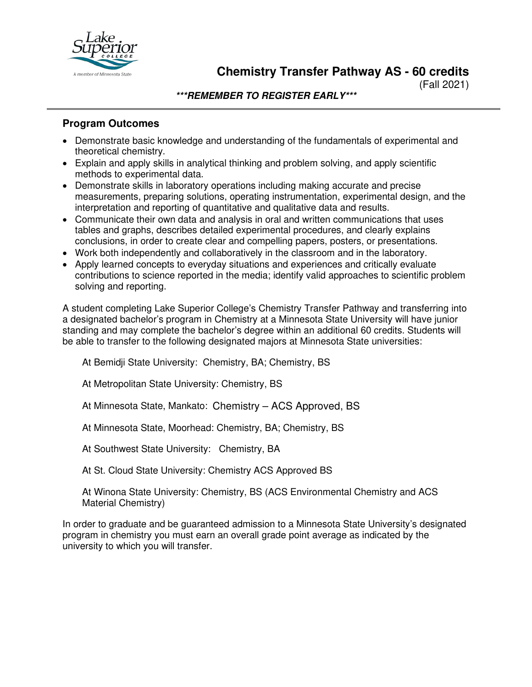

**Chemistry Transfer Pathway AS - 60 credits**

(Fall 2021)

**\*\*\*REMEMBER TO REGISTER EARLY\*\*\***

## **Program Outcomes**

- Demonstrate basic knowledge and understanding of the fundamentals of experimental and theoretical chemistry.
- Explain and apply skills in analytical thinking and problem solving, and apply scientific methods to experimental data.
- Demonstrate skills in laboratory operations including making accurate and precise measurements, preparing solutions, operating instrumentation, experimental design, and the interpretation and reporting of quantitative and qualitative data and results.
- Communicate their own data and analysis in oral and written communications that uses tables and graphs, describes detailed experimental procedures, and clearly explains conclusions, in order to create clear and compelling papers, posters, or presentations.
- Work both independently and collaboratively in the classroom and in the laboratory.
- Apply learned concepts to everyday situations and experiences and critically evaluate contributions to science reported in the media; identify valid approaches to scientific problem solving and reporting.

A student completing Lake Superior College's Chemistry Transfer Pathway and transferring into a designated bachelor's program in Chemistry at a Minnesota State University will have junior standing and may complete the bachelor's degree within an additional 60 credits. Students will be able to transfer to the following designated majors at Minnesota State universities:

At Bemidji State University: Chemistry, BA; Chemistry, BS

At Metropolitan State University: Chemistry, BS

At Minnesota State, Mankato: Chemistry – ACS Approved, BS

At Minnesota State, Moorhead: Chemistry, BA; Chemistry, BS

At Southwest State University: Chemistry, BA

At St. Cloud State University: Chemistry ACS Approved BS

At Winona State University: Chemistry, BS (ACS Environmental Chemistry and ACS Material Chemistry)

In order to graduate and be guaranteed admission to a Minnesota State University's designated program in chemistry you must earn an overall grade point average as indicated by the university to which you will transfer.